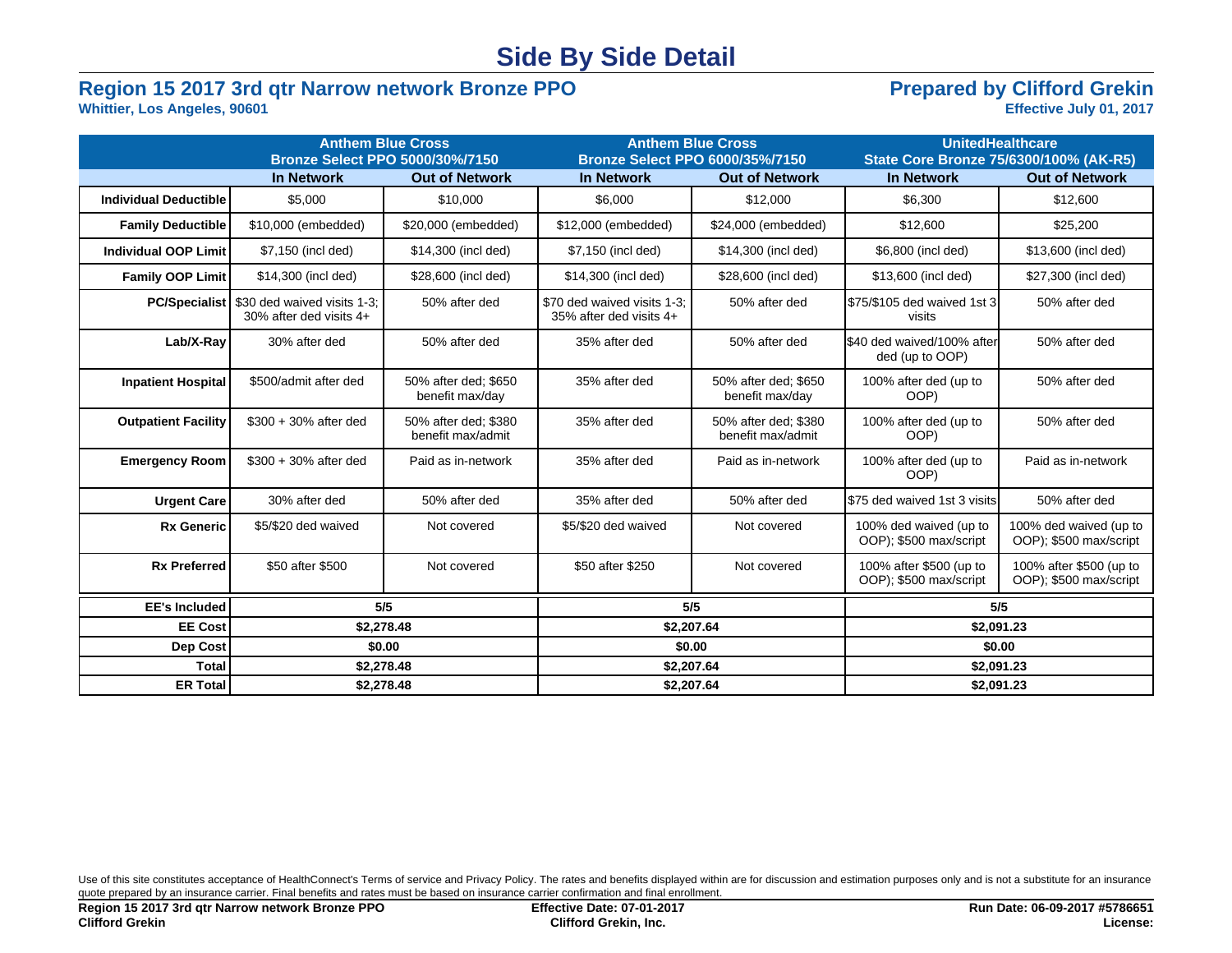## **Side By Side Detail**

# **Region 15 2017 3rd qtr Narrow network Bronze PPO**<br>Whittier, Los Angeles, 90601<br>Effective July 01, 2017

## **Whittier, Los Angeles, 90601**

|                              | <b>Bronze Select PPO 5000/30%/7150</b>                 | <b>Anthem Blue Cross</b>                  | <b>Anthem Blue Cross</b><br><b>Bronze Select PPO 6000/35%/7150</b> |                                           | <b>UnitedHealthcare</b><br>State Core Bronze 75/6300/100% (AK-R5) |                                                   |  |
|------------------------------|--------------------------------------------------------|-------------------------------------------|--------------------------------------------------------------------|-------------------------------------------|-------------------------------------------------------------------|---------------------------------------------------|--|
| <b>In Network</b>            |                                                        | <b>Out of Network</b>                     | <b>In Network</b>                                                  | <b>Out of Network</b>                     | <b>In Network</b>                                                 | <b>Out of Network</b>                             |  |
| <b>Individual Deductible</b> | \$5,000                                                | \$10,000                                  | \$6,000                                                            | \$12,000                                  | \$6,300                                                           | \$12,600                                          |  |
| <b>Family Deductible</b>     | \$10,000 (embedded)                                    | \$20,000 (embedded)                       | \$12,000 (embedded)                                                | \$24,000 (embedded)                       | \$12,600                                                          | \$25,200                                          |  |
| <b>Individual OOP Limit</b>  | \$7,150 (incl ded)                                     | \$14,300 (incl ded)                       | \$7,150 (incl ded)                                                 | \$14,300 (incl ded)                       | \$6,800 (incl ded)                                                | \$13,600 (incl ded)                               |  |
| <b>Family OOP Limit</b>      | \$14,300 (incl ded)                                    | \$28,600 (incl ded)                       | \$14,300 (incl ded)                                                | \$28,600 (incl ded)                       | \$13,600 (incl ded)                                               | \$27,300 (incl ded)                               |  |
| <b>PC/Specialist</b>         | \$30 ded waived visits 1-3:<br>30% after ded visits 4+ | 50% after ded                             | \$70 ded waived visits 1-3:<br>35% after ded visits 4+             | 50% after ded                             | S75/\$105 ded waived 1st 3<br>visits                              | 50% after ded                                     |  |
| Lab/X-Ray                    | 30% after ded                                          | 50% after ded                             | 35% after ded                                                      | 50% after ded                             | S40 ded waived/100% after<br>ded (up to OOP)                      | 50% after ded                                     |  |
| <b>Inpatient Hospital</b>    | \$500/admit after ded                                  | 50% after ded; \$650<br>benefit max/day   | 35% after ded                                                      | 50% after ded: \$650<br>benefit max/day   | 100% after ded (up to<br>OOP)                                     | 50% after ded                                     |  |
| <b>Outpatient Facility</b>   | $$300 + 30\%$ after ded                                | 50% after ded: \$380<br>benefit max/admit | 35% after ded                                                      | 50% after ded: \$380<br>benefit max/admit | 100% after ded (up to<br>OOP)                                     | 50% after ded                                     |  |
| <b>Emergency Room</b>        | $$300 + 30\%$ after ded<br>Paid as in-network          |                                           | 35% after ded                                                      | Paid as in-network                        | 100% after ded (up to<br>OOP)                                     | Paid as in-network                                |  |
| <b>Urgent Care</b>           | 30% after ded<br>50% after ded                         |                                           | 35% after ded                                                      | 50% after ded                             | \$75 ded waived 1st 3 visits                                      | 50% after ded                                     |  |
| <b>Rx Generic</b>            | \$5/\$20 ded waived                                    | Not covered                               | \$5/\$20 ded waived                                                | Not covered                               | 100% ded waived (up to<br>OOP); \$500 max/script                  | 100% ded waived (up to<br>OOP); \$500 max/script  |  |
| <b>Rx Preferred</b>          | \$50 after \$500                                       | Not covered                               | \$50 after \$250                                                   | Not covered                               | 100% after \$500 (up to<br>OOP); \$500 max/script                 | 100% after \$500 (up to<br>OOP); \$500 max/script |  |
| <b>EE's Included</b>         | 5/5                                                    |                                           | 5/5                                                                |                                           | 5/5                                                               |                                                   |  |
| <b>EE Cost</b>               | \$2,278.48                                             |                                           | \$2,207.64                                                         |                                           | \$2,091.23                                                        |                                                   |  |
| Dep Cost                     | \$0.00                                                 |                                           | \$0.00                                                             |                                           | \$0.00                                                            |                                                   |  |
| <b>Total</b>                 | \$2,278.48                                             |                                           | \$2,207.64                                                         |                                           | \$2,091.23                                                        |                                                   |  |
| <b>ER Total</b>              | \$2,278.48                                             |                                           | \$2,207.64                                                         |                                           | \$2,091.23                                                        |                                                   |  |

Use of this site constitutes acceptance of HealthConnect's Terms of service and Privacy Policy. The rates and benefits displayed within are for discussion and estimation purposes only and is not a substitute for an insuran quote prepared by an insurance carrier. Final benefits and rates must be based on insurance carrier confirmation and final enrollment.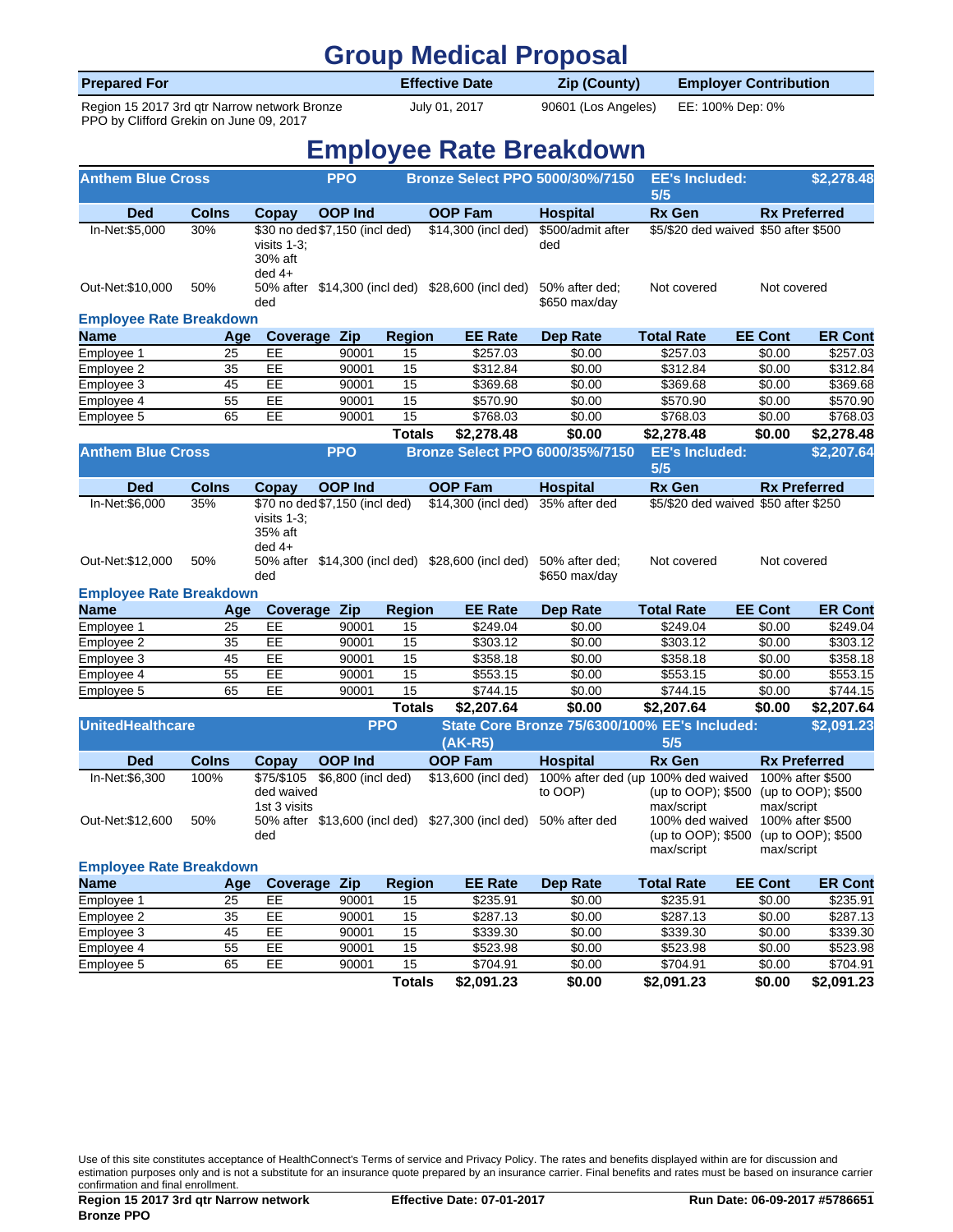| <b>Group Medical Proposal</b>                                                           |            |                       |                                        |                               |                  |  |  |  |  |  |
|-----------------------------------------------------------------------------------------|------------|-----------------------|----------------------------------------|-------------------------------|------------------|--|--|--|--|--|
| <b>Prepared For</b>                                                                     |            | <b>Effective Date</b> | <b>Zip (County)</b>                    | <b>Employer Contribution</b>  |                  |  |  |  |  |  |
| Region 15 2017 3rd gtr Narrow network Bronze<br>PPO by Clifford Grekin on June 09, 2017 |            | July 01, 2017         | 90601 (Los Angeles)                    |                               | EE: 100% Dep: 0% |  |  |  |  |  |
| <b>Employee Rate Breakdown</b>                                                          |            |                       |                                        |                               |                  |  |  |  |  |  |
| <b>Anthem Blue Cross</b>                                                                | <b>PPO</b> |                       | <b>Bronze Select PPO 5000/30%/7150</b> | <b>EE's Included:</b><br>.5/5 | \$2,278,48       |  |  |  |  |  |

| <b>Ded</b>                                    | Colns        | Copay                                    | <b>OOP Ind</b>                 |                     | <b>OOP Fam</b>                                                  | <b>Hospital</b>                 | <b>Rx Gen</b>                                                          |                | <b>Rx Preferred</b>                    |  |
|-----------------------------------------------|--------------|------------------------------------------|--------------------------------|---------------------|-----------------------------------------------------------------|---------------------------------|------------------------------------------------------------------------|----------------|----------------------------------------|--|
| In-Net:\$5,000                                | 30%          | visits $1-3$ :<br>30% aft<br>$ded$ 4+    | \$30 no ded \$7,150 (incl ded) |                     | $$14,300$ (incl ded)                                            | \$500/admit after<br>ded        | \$5/\$20 ded waived \$50 after \$500                                   |                |                                        |  |
| Out-Net: \$10,000                             | 50%          | ded                                      |                                |                     | 50% after \$14,300 (incl ded) \$28,600 (incl ded)               | 50% after ded:<br>\$650 max/day | Not covered                                                            | Not covered    |                                        |  |
| <b>Employee Rate Breakdown</b>                |              |                                          |                                |                     |                                                                 |                                 |                                                                        |                |                                        |  |
| Name                                          | Age          |                                          | <b>Coverage Zip</b>            | <b>Region</b>       | <b>EE Rate</b>                                                  | <b>Dep Rate</b>                 | <b>Total Rate</b>                                                      | <b>EE Cont</b> | <b>ER Cont</b>                         |  |
| Employee 1                                    | 25           | EE                                       | 90001                          | 15                  | \$257.03                                                        | \$0.00                          | \$257.03                                                               | \$0.00         | \$257.03                               |  |
| Employee 2                                    | 35           | EE                                       | 90001                          | 15                  | \$312.84                                                        | \$0.00                          | \$312.84                                                               | \$0.00         | \$312.84                               |  |
| Employee 3                                    | 45           | EE                                       | 90001                          | 15                  | \$369.68                                                        | \$0.00                          | \$369.68                                                               | \$0.00         | \$369.68                               |  |
| Employee 4                                    | 55           | EE                                       | 90001                          | 15                  | \$570.90                                                        | \$0.00                          | \$570.90                                                               | \$0.00         | \$570.90                               |  |
| Employee 5                                    | 65           | EE                                       | 90001                          | $\overline{15}$     | \$768.03                                                        | \$0.00                          | \$768.03                                                               | \$0.00         | \$768.03                               |  |
|                                               |              |                                          |                                | <b>Totals</b>       | \$2,278.48                                                      | \$0.00                          | \$2,278.48                                                             | \$0.00         | \$2,278.48                             |  |
| <b>Anthem Blue Cross</b>                      |              |                                          | <b>PPO</b>                     |                     | <b>Bronze Select PPO 6000/35%/7150</b>                          |                                 | <b>EE's Included:</b><br>5/5                                           |                | \$2,207.64                             |  |
| <b>Ded</b>                                    | <b>Colns</b> | Copay                                    | <b>OOP Ind</b>                 |                     | <b>OOP Fam</b>                                                  | <b>Hospital</b>                 | <b>Rx Gen</b>                                                          |                | <b>Rx Preferred</b>                    |  |
| In-Net:\$6,000                                | 35%          | visits $1-3$ ;<br>35% aft<br>$ded$ 4+    | \$70 no ded \$7,150 (incl ded) |                     | \$14,300 (incl ded)                                             | 35% after ded                   | \$5/\$20 ded waived \$50 after \$250                                   |                |                                        |  |
| Out-Net: \$12,000                             | 50%          | ded                                      |                                |                     | 50% after \$14,300 (incl ded) \$28,600 (incl ded)               | 50% after ded:<br>\$650 max/day | Not covered                                                            | Not covered    |                                        |  |
| <b>Employee Rate Breakdown</b><br><b>Name</b> |              |                                          | Zip                            |                     | <b>EE Rate</b>                                                  | <b>Dep Rate</b>                 | <b>Total Rate</b>                                                      | <b>EE Cont</b> | <b>ER Cont</b>                         |  |
|                                               | Age<br>25    | Coverage<br>EE                           | 90001                          | <b>Region</b><br>15 | \$249.04                                                        | \$0.00                          | \$249.04                                                               | \$0.00         | \$249.04                               |  |
| Employee 1                                    | 35           | EE                                       | 90001                          | 15                  | \$303.12                                                        | \$0.00                          | \$303.12                                                               | \$0.00         | \$303.12                               |  |
| Employee 2<br>Employee 3                      | 45           | EE                                       | 90001                          | 15                  | \$358.18                                                        | \$0.00                          | \$358.18                                                               | \$0.00         | \$358.18                               |  |
| Employee 4                                    | 55           | EE                                       | 90001                          | 15                  | \$553.15                                                        | \$0.00                          | \$553.15                                                               | \$0.00         | \$553.15                               |  |
| Employee 5                                    | 65           | $\overline{EE}$                          | 90001                          | 15                  | \$744.15                                                        | \$0.00                          | \$744.15                                                               | \$0.00         | \$744.15                               |  |
|                                               |              |                                          |                                | <b>Totals</b>       | \$2,207.64                                                      | \$0.00                          | \$2,207.64                                                             | \$0.00         | \$2,207.64                             |  |
|                                               |              |                                          |                                |                     |                                                                 |                                 |                                                                        |                |                                        |  |
| <b>UnitedHealthcare</b>                       |              |                                          |                                | <b>PPO</b>          | $(AK-R5)$                                                       |                                 | State Core Bronze 75/6300/100% EE's Included:<br>5/5                   |                | \$2,091.23                             |  |
|                                               |              |                                          |                                |                     |                                                                 |                                 |                                                                        |                |                                        |  |
| <b>Ded</b>                                    | <b>Colns</b> | Copay                                    | <b>OOP Ind</b>                 |                     | <b>OOP Fam</b>                                                  | <b>Hospital</b>                 | <b>Rx Gen</b>                                                          |                | <b>Rx Preferred</b>                    |  |
| In-Net:\$6,300                                | 100%         | \$75/\$105<br>ded waived<br>1st 3 visits | \$6,800 (incl ded)             |                     | $\overline{$13,600}$ (incl ded)                                 | to OOP)                         | 100% after ded (up 100% ded waived<br>(up to OOP); \$500<br>max/script | max/script     | 100% after \$500<br>(up to OOP); \$500 |  |
| Out-Net: \$12,600                             | 50%          | ded                                      |                                |                     | 50% after \$13,600 (incl ded) \$27,300 (incl ded) 50% after ded |                                 | 100% ded waived<br>(up to OOP); \$500<br>max/script                    | max/script     | 100% after \$500<br>(up to OOP); \$500 |  |
| <b>Employee Rate Breakdown</b>                |              |                                          |                                |                     |                                                                 |                                 |                                                                        |                |                                        |  |
| Name                                          | Age          | Coverage Zip                             |                                | <b>Region</b>       | <b>EE Rate</b>                                                  | <b>Dep Rate</b>                 | <b>Total Rate</b>                                                      | <b>EE Cont</b> | <b>ER Cont</b>                         |  |
| Employee 1                                    | 25           | EE                                       | 90001                          | 15                  | \$235.91                                                        | \$0.00                          | \$235.91                                                               | \$0.00         | \$235.91                               |  |
| Employee 2                                    | 35           | EE                                       | 90001                          | 15                  | \$287.13                                                        | \$0.00                          | \$287.13                                                               | \$0.00         | \$287.13                               |  |

|            |    |    |       | Totals | \$2,091.23 | \$0.00 | \$2,091.23 | \$0.00 | \$2,091.23 |
|------------|----|----|-------|--------|------------|--------|------------|--------|------------|
| Employee 5 | 65 | EЕ | 90001 | 15     | \$704.91   | \$0.00 | \$704.91   | \$0.00 | \$704.91   |
| Employee 4 | 55 | EЕ | 90001 | 15     | \$523.98   | \$0.00 | \$523.98   | \$0.00 | \$523.98   |
| Employee 3 | 45 | EЕ | 90001 | 15     | \$339.30   | \$0.00 | \$339.30   | \$0.00 | \$339.30   |

Use of this site constitutes acceptance of HealthConnect's Terms of service and Privacy Policy. The rates and benefits displayed within are for discussion and estimation purposes only and is not a substitute for an insurance quote prepared by an insurance carrier. Final benefits and rates must be based on insurance carrier confirmation and final enrollment.